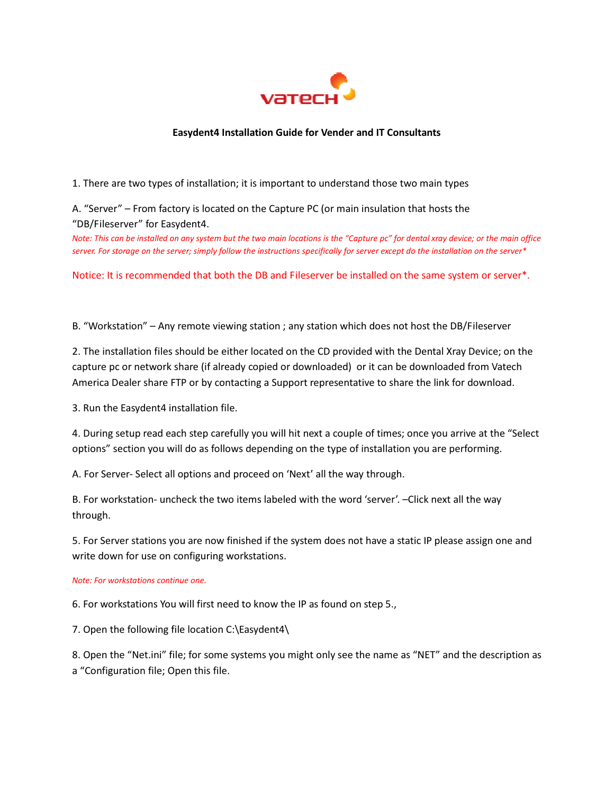

## Easydent4 Installation Guide for Vender and IT Consultants

1. There are two types of installation; it is important to understand those two main types

A. "Server" – From factory is located on the Capture PC (or main insulation that hosts the "DB/Fileserver" for Easydent4.

Note: This can be installed on any system but the two main locations is the "Capture pc" for dental xray device; or the main office server. For storage on the server; simply follow the instructions specifically for server except do the installation on the server\*

Notice: It is recommended that both the DB and Fileserver be installed on the same system or server\*.

B. "Workstation" – Any remote viewing station ; any station which does not host the DB/Fileserver

2. The installation files should be either located on the CD provided with the Dental Xray Device; on the capture pc or network share (if already copied or downloaded) or it can be downloaded from Vatech America Dealer share FTP or by contacting a Support representative to share the link for download.

3. Run the Easydent4 installation file.

4. During setup read each step carefully you will hit next a couple of times; once you arrive at the "Select options" section you will do as follows depending on the type of installation you are performing.

A. For Server- Select all options and proceed on 'Next' all the way through.

B. For workstation- uncheck the two items labeled with the word 'server'. –Click next all the way through.

5. For Server stations you are now finished if the system does not have a static IP please assign one and write down for use on configuring workstations.

## Note: For workstations continue one.

6. For workstations You will first need to know the IP as found on step 5.,

7. Open the following file location C:\Easydent4\

8. Open the "Net.ini" file; for some systems you might only see the name as "NET" and the description as a "Configuration file; Open this file.